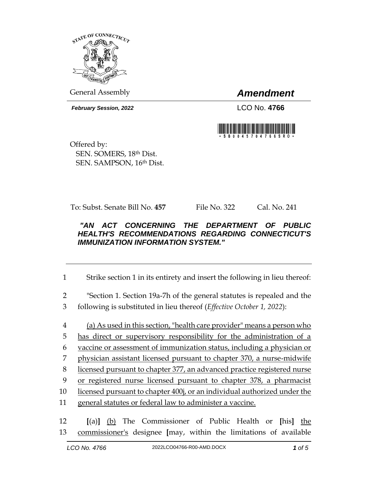

General Assembly *Amendment*

*February Session, 2022* LCO No. **4766**



Offered by: SEN. SOMERS, 18th Dist. SEN. SAMPSON, 16th Dist.

To: Subst. Senate Bill No. **457** File No. 322 Cal. No. 241

## *"AN ACT CONCERNING THE DEPARTMENT OF PUBLIC HEALTH'S RECOMMENDATIONS REGARDING CONNECTICUT'S IMMUNIZATION INFORMATION SYSTEM."*

1 Strike section 1 in its entirety and insert the following in lieu thereof:

2 "Section 1. Section 19a-7h of the general statutes is repealed and the 3 following is substituted in lieu thereof (*Effective October 1, 2022*):

4 (a) As used in this section, "health care provider" means a person who has direct or supervisory responsibility for the administration of a vaccine or assessment of immunization status, including a physician or physician assistant licensed pursuant to chapter 370, a nurse-midwife licensed pursuant to chapter 377, an advanced practice registered nurse or registered nurse licensed pursuant to chapter 378, a pharmacist licensed pursuant to chapter 400j, or an individual authorized under the general statutes or federal law to administer a vaccine.

12 **[**(a)**]** (b) The Commissioner of Public Health or **[**his**]** the 13 commissioner's designee **[**may, within the limitations of available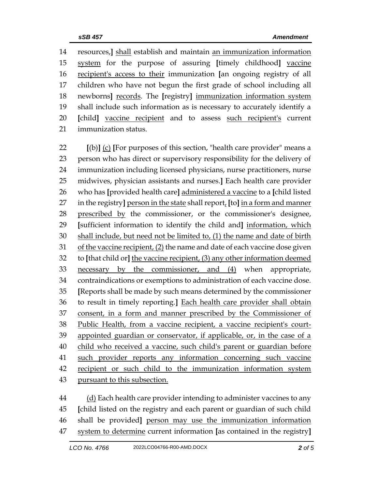resources,**]** shall establish and maintain an immunization information system for the purpose of assuring **[**timely childhood**]** vaccine recipient's access to their immunization **[**an ongoing registry of all children who have not begun the first grade of school including all newborns**]** records. The **[**registry**]** immunization information system shall include such information as is necessary to accurately identify a **[**child**]** vaccine recipient and to assess such recipient's current immunization status.

 **[**(b)**]** (c) **[**For purposes of this section, "health care provider" means a person who has direct or supervisory responsibility for the delivery of immunization including licensed physicians, nurse practitioners, nurse midwives, physician assistants and nurses.**]** Each health care provider who has **[**provided health care**]** administered a vaccine to a **[**child listed in the registry**]** person in the state shall report, **[**to**]** in a form and manner prescribed by the commissioner, or the commissioner's designee, **[**sufficient information to identify the child and**]** information, which shall include, but need not be limited to, (1) the name and date of birth 31 of the vaccine recipient, (2) the name and date of each vaccine dose given to **[**that child or**]** the vaccine recipient, (3) any other information deemed necessary by the commissioner, and (4) when appropriate, contraindications or exemptions to administration of each vaccine dose. **[**Reports shall be made by such means determined by the commissioner to result in timely reporting.**]** Each health care provider shall obtain consent, in a form and manner prescribed by the Commissioner of Public Health, from a vaccine recipient, a vaccine recipient's court-39 appointed guardian or conservator, if applicable, or, in the case of a child who received a vaccine, such child's parent or guardian before such provider reports any information concerning such vaccine recipient or such child to the immunization information system pursuant to this subsection.

 (d) Each health care provider intending to administer vaccines to any **[**child listed on the registry and each parent or guardian of such child shall be provided**]** person may use the immunization information system to determine current information **[**as contained in the registry**]**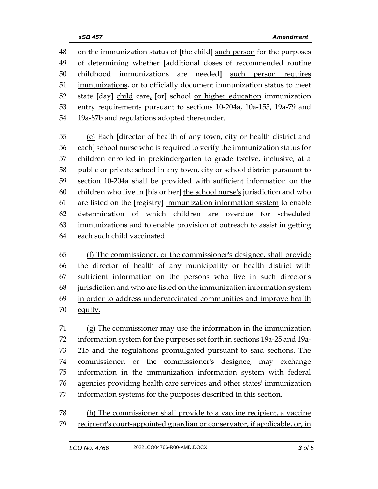on the immunization status of **[**the child**]** such person for the purposes of determining whether **[**additional doses of recommended routine childhood immunizations are needed**]** such person requires immunizations, or to officially document immunization status to meet state **[**day**]** child care, **[**or**]** school or higher education immunization entry requirements pursuant to sections 10-204a, 10a-155, 19a-79 and 19a-87b and regulations adopted thereunder.

 (e) Each **[**director of health of any town, city or health district and each**]** school nurse who is required to verify the immunization status for children enrolled in prekindergarten to grade twelve, inclusive, at a public or private school in any town, city or school district pursuant to section 10-204a shall be provided with sufficient information on the children who live in **[**his or her**]** the school nurse's jurisdiction and who are listed on the **[**registry**]** immunization information system to enable determination of which children are overdue for scheduled immunizations and to enable provision of outreach to assist in getting each such child vaccinated.

 (f) The commissioner, or the commissioner's designee, shall provide the director of health of any municipality or health district with sufficient information on the persons who live in such director's jurisdiction and who are listed on the immunization information system in order to address undervaccinated communities and improve health equity.

 (g) The commissioner may use the information in the immunization information system for the purposes set forth in sections 19a-25 and 19a- 215 and the regulations promulgated pursuant to said sections. The commissioner, or the commissioner's designee, may exchange information in the immunization information system with federal agencies providing health care services and other states' immunization information systems for the purposes described in this section.

 (h) The commissioner shall provide to a vaccine recipient, a vaccine recipient's court-appointed guardian or conservator, if applicable, or, in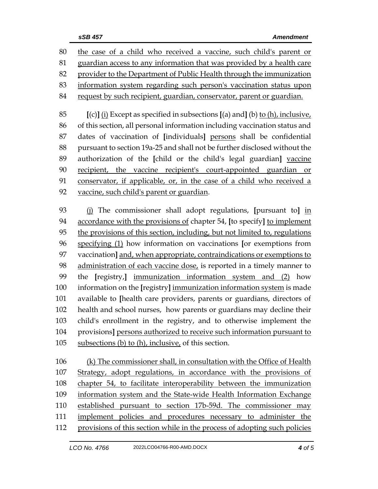| 80  | the case of a child who received a vaccine, such child's parent or                |  |
|-----|-----------------------------------------------------------------------------------|--|
| 81  | guardian access to any information that was provided by a health care             |  |
| 82  | provider to the Department of Public Health through the immunization              |  |
| 83  | information system regarding such person's vaccination status upon                |  |
| 84  | request by such recipient, guardian, conservator, parent or guardian.             |  |
| 85  | $[(c)]$ (i) Except as specified in subsections $[(a)$ and] (b) to (h), inclusive, |  |
| 86  | of this section, all personal information including vaccination status and        |  |
| 87  | dates of vaccination of [individuals] persons shall be confidential               |  |
| 88  | pursuant to section 19a-25 and shall not be further disclosed without the         |  |
| 89  | authorization of the [child or the child's legal guardian] vaccine                |  |
| 90  | recipient, the vaccine recipient's court-appointed guardian or                    |  |
| 91  | conservator, if applicable, or, in the case of a child who received a             |  |
| 92  | vaccine, such child's parent or guardian.                                         |  |
|     |                                                                                   |  |
| 93  | (i) The commissioner shall adopt regulations, [pursuant to] in                    |  |
| 94  | accordance with the provisions of chapter 54, [to specify] to implement           |  |
| 95  | the provisions of this section, including, but not limited to, regulations        |  |
| 96  | specifying (1) how information on vaccinations [or exemptions from                |  |
| 97  | vaccination] and, when appropriate, contraindications or exemptions to            |  |
| 98  | administration of each vaccine dose, is reported in a timely manner to            |  |
| 99  | the [registry,] immunization information system and (2) how                       |  |
| 100 | information on the [registry] immunization information system is made             |  |
| 101 | available to [health care providers, parents or guardians, directors of           |  |
| 102 | health and school nurses, how parents or guardians may decline their              |  |
| 103 | child's enrollment in the registry, and to otherwise implement the                |  |
| 104 | provisions] persons authorized to receive such information pursuant to            |  |
| 105 | subsections (b) to (h), inclusive, of this section.                               |  |
| 106 | (k) The commissioner shall, in consultation with the Office of Health             |  |
| 107 | Strategy, adopt regulations, in accordance with the provisions of                 |  |
| 108 | chapter 54, to facilitate interoperability between the immunization               |  |
|     |                                                                                   |  |

- information system and the State-wide Health Information Exchange established pursuant to section 17b-59d. The commissioner may
- 111 implement policies and procedures necessary to administer the
- provisions of this section while in the process of adopting such policies